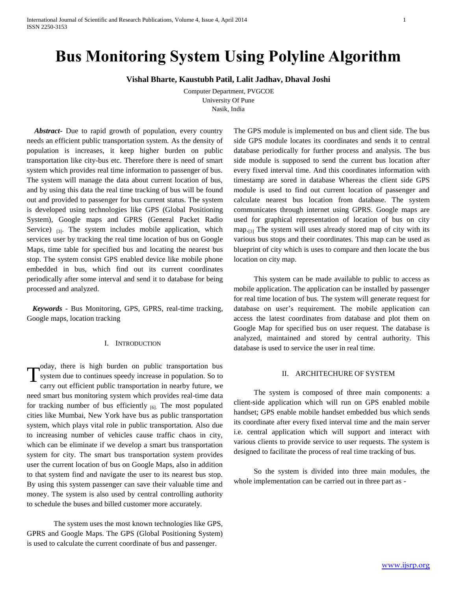# **Bus Monitoring System Using Polyline Algorithm**

**Vishal Bharte, Kaustubh Patil, Lalit Jadhav, Dhaval Joshi**

Computer Department, PVGCOE University Of Pune Nasik, India

 *Abstract***-** Due to rapid growth of population, every country needs an efficient public transportation system. As the density of population is increases, it keep higher burden on public transportation like city-bus etc. Therefore there is need of smart system which provides real time information to passenger of bus. The system will manage the data about current location of bus, and by using this data the real time tracking of bus will be found out and provided to passenger for bus current status. The system is developed using technologies like GPS (Global Positioning System), Google maps and GPRS (General Packet Radio Service)  $_{[3]}$ . The system includes mobile application, which services user by tracking the real time location of bus on Google Maps, time table for specified bus and locating the nearest bus stop. The system consist GPS enabled device like mobile phone embedded in bus, which find out its current coordinates periodically after some interval and send it to database for being processed and analyzed.

 *Keywords* - Bus Monitoring, GPS, GPRS, real-time tracking, Google maps, location tracking

## I. INTRODUCTION

oday, there is high burden on public transportation bus system due to continues speedy increase in population. So to carry out efficient public transportation in nearby future, we need smart bus monitoring system which provides real-time data for tracking number of bus efficiently  $_{[6]}$ . The most populated cities like Mumbai, New York have bus as public transportation system, which plays vital role in public transportation. Also due to increasing number of vehicles cause traffic chaos in city, which can be eliminate if we develop a smart bus transportation system for city. The smart bus transportation system provides user the current location of bus on Google Maps, also in addition to that system find and navigate the user to its nearest bus stop. By using this system passenger can save their valuable time and money. The system is also used by central controlling authority to schedule the buses and billed customer more accurately. T

The system uses the most known technologies like GPS, GPRS and Google Maps. The GPS (Global Positioning System) is used to calculate the current coordinate of bus and passenger.

The GPS module is implemented on bus and client side. The bus side GPS module locates its coordinates and sends it to central database periodically for further process and analysis. The bus side module is supposed to send the current bus location after every fixed interval time. And this coordinates information with timestamp are sored in database Whereas the client side GPS module is used to find out current location of passenger and calculate nearest bus location from database. The system communicates through internet using GPRS. Google maps are used for graphical representation of location of bus on city map.<sub>[3]</sub> The system will uses already stored map of city with its various bus stops and their coordinates. This map can be used as blueprint of city which is uses to compare and then locate the bus location on city map.

This system can be made available to public to access as mobile application. The application can be installed by passenger for real time location of bus. The system will generate request for database on user's requirement. The mobile application can access the latest coordinates from database and plot them on Google Map for specified bus on user request. The database is analyzed, maintained and stored by central authority. This database is used to service the user in real time.

# II. ARCHITECHURE OF SYSTEM

The system is composed of three main components: a client-side application which will run on GPS enabled mobile handset; GPS enable mobile handset embedded bus which sends its coordinate after every fixed interval time and the main server i.e. central application which will support and interact with various clients to provide service to user requests. The system is designed to facilitate the process of real time tracking of bus.

So the system is divided into three main modules, the whole implementation can be carried out in three part as -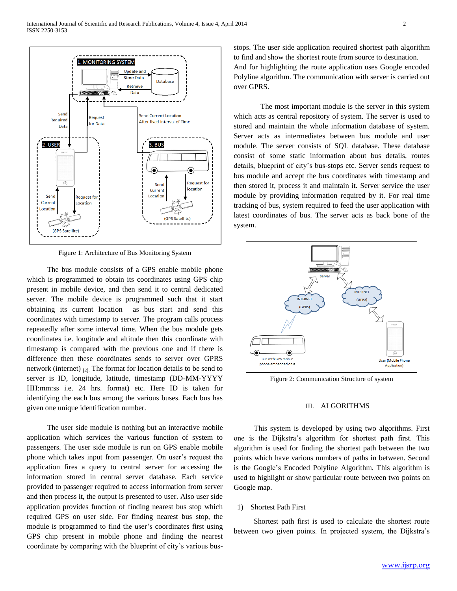

Figure 1: Architecture of Bus Monitoring System

The bus module consists of a GPS enable mobile phone which is programmed to obtain its coordinates using GPS chip present in mobile device, and then send it to central dedicated server. The mobile device is programmed such that it start obtaining its current location as bus start and send this coordinates with timestamp to server. The program calls process repeatedly after some interval time. When the bus module gets coordinates i.e. longitude and altitude then this coordinate with timestamp is compared with the previous one and if there is difference then these coordinates sends to server over GPRS network (internet)  $_{[2]}$ . The format for location details to be send to server is ID, longitude, latitude, timestamp (DD-MM-YYYY HH:mm:ss i.e. 24 hrs. format) etc. Here ID is taken for identifying the each bus among the various buses. Each bus has given one unique identification number.

The user side module is nothing but an interactive mobile application which services the various function of system to passengers. The user side module is run on GPS enable mobile phone which takes input from passenger. On user's request the application fires a query to central server for accessing the information stored in central server database. Each service provided to passenger required to access information from server and then process it, the output is presented to user. Also user side application provides function of finding nearest bus stop which required GPS on user side. For finding nearest bus stop, the module is programmed to find the user's coordinates first using GPS chip present in mobile phone and finding the nearest coordinate by comparing with the blueprint of city's various busstops. The user side application required shortest path algorithm to find and show the shortest route from source to destination. And for highlighting the route application uses Google encoded

Polyline algorithm. The communication with server is carried out over GPRS.

The most important module is the server in this system which acts as central repository of system. The server is used to stored and maintain the whole information database of system. Server acts as intermediates between bus module and user module. The server consists of SQL database. These database consist of some static information about bus details, routes details, blueprint of city's bus-stops etc. Server sends request to bus module and accept the bus coordinates with timestamp and then stored it, process it and maintain it. Server service the user module by providing information required by it. For real time tracking of bus, system required to feed the user application with latest coordinates of bus. The server acts as back bone of the system.



Figure 2: Communication Structure of system

## III. ALGORITHMS

This system is developed by using two algorithms. First one is the Dijkstra's algorithm for shortest path first. This algorithm is used for finding the shortest path between the two points which have various numbers of paths in between. Second is the Google's Encoded Polyline Algorithm. This algorithm is used to highlight or show particular route between two points on Google map.

1) Shortest Path First

Shortest path first is used to calculate the shortest route between two given points. In projected system, the Dijkstra's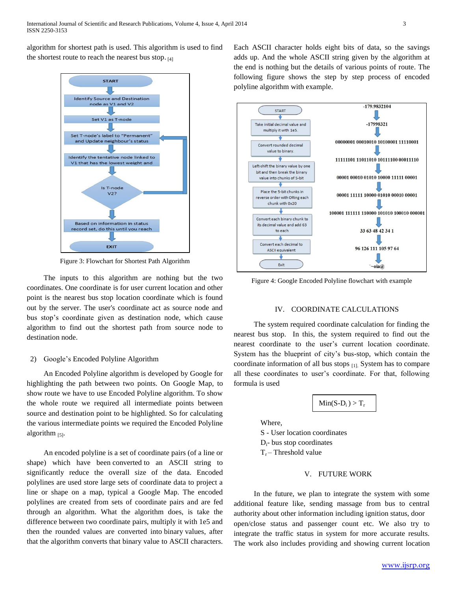algorithm for shortest path is used. This algorithm is used to find the shortest route to reach the nearest bus stop.  $_{[4]}$ 



Figure 3: Flowchart for Shortest Path Algorithm

The inputs to this algorithm are nothing but the two coordinates. One coordinate is for user current location and other point is the nearest bus stop location coordinate which is found out by the server. The user's coordinate act as source node and bus stop's coordinate given as destination node, which cause algorithm to find out the shortest path from source node to destination node.

### 2) Google's Encoded Polyline Algorithm

An Encoded Polyline algorithm is developed by Google for highlighting the path between two points. On Google Map, to show route we have to use Encoded Polyline algorithm. To show the whole route we required all intermediate points between source and destination point to be highlighted. So for calculating the various intermediate points we required the Encoded Polyline algorithm  $_{[5]}$ .

An encoded polyline is a set of coordinate pairs (of a line or shape) which have been converted to an [ASCII](http://en.wikipedia.org/wiki/ASCII) string to significantly reduce the overall size of the data. Encoded polylines are used store large sets of coordinate data to project a line or shape on a map, typical a Google Map. The encoded polylines are created from sets of coordinate pairs and are fed through an algorithm. What the algorithm does, is take the difference between two coordinate pairs, multiply it with 1e5 and then the rounded values are converted into binary values, after that the algorithm converts that binary value to ASCII characters.

Each ASCII character holds eight bits of data, so the savings adds up. And the whole ASCII string given by the algorithm at the end is nothing but the details of various points of route. The following figure shows the step by step process of encoded polyline algorithm with example.



Figure 4: Google Encoded Polyline flowchart with example

#### IV. COORDINATE CALCULATIONS

The system required coordinate calculation for finding the nearest bus stop. In this, the system required to find out the nearest coordinate to the user's current location coordinate. System has the blueprint of city's bus-stop, which contain the coordinate information of all bus stops [1]. System has to compare all these coordinates to user's coordinate. For that, following formula is used



Where,

S - User location coordinates  $D_i$ - bus stop coordinates  $T_r$  – Threshold value

#### V. FUTURE WORK

In the future, we plan to integrate the system with some additional feature like, sending massage from bus to central authority about other information including ignition status, door open/close status and passenger count etc. We also try to integrate the traffic status in system for more accurate results. The work also includes providing and showing current location